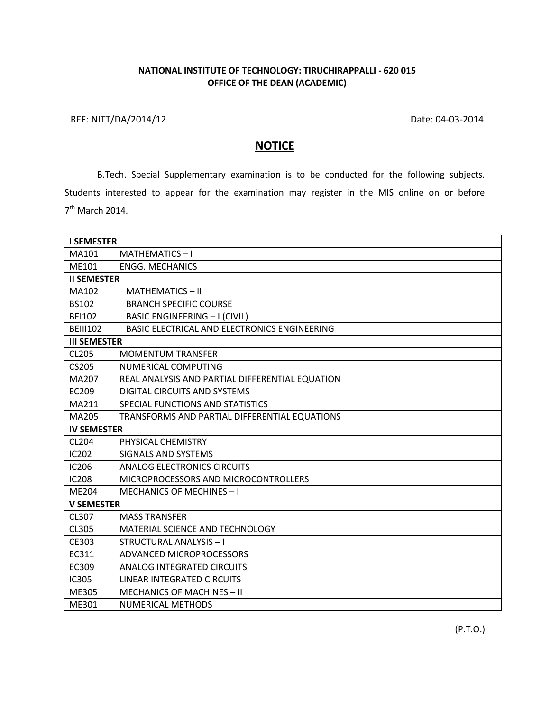## **NATIONAL INSTITUTE OF TECHNOLOGY: TIRUCHIRAPPALLI - 620 015 OFFICE OF THE DEAN (ACADEMIC)**

REF: NITT/DA/2014/12 Date: 04-03-2014

## **NOTICE**

B.Tech. Special Supplementary examination is to be conducted for the following subjects. Students interested to appear for the examination may register in the MIS online on or before 7<sup>th</sup> March 2014.

| <b>I SEMESTER</b>   |                                                 |
|---------------------|-------------------------------------------------|
| MA101               | MATHEMATICS-I                                   |
| ME101               | <b>ENGG. MECHANICS</b>                          |
| <b>II SEMESTER</b>  |                                                 |
| MA102               | MATHEMATICS-II                                  |
| <b>BS102</b>        | <b>BRANCH SPECIFIC COURSE</b>                   |
| <b>BEI102</b>       | <b>BASIC ENGINEERING - I (CIVIL)</b>            |
| <b>BEIII102</b>     | BASIC ELECTRICAL AND ELECTRONICS ENGINEERING    |
| <b>III SEMESTER</b> |                                                 |
| CL205               | <b>MOMENTUM TRANSFER</b>                        |
| <b>CS205</b>        | NUMERICAL COMPUTING                             |
| MA207               | REAL ANALYSIS AND PARTIAL DIFFERENTIAL EQUATION |
| EC209               | <b>DIGITAL CIRCUITS AND SYSTEMS</b>             |
| MA211               | SPECIAL FUNCTIONS AND STATISTICS                |
| MA205               | TRANSFORMS AND PARTIAL DIFFERENTIAL EQUATIONS   |
| <b>IV SEMESTER</b>  |                                                 |
| CL204               | PHYSICAL CHEMISTRY                              |
| <b>IC202</b>        | <b>SIGNALS AND SYSTEMS</b>                      |
| IC206               | <b>ANALOG ELECTRONICS CIRCUITS</b>              |
| <b>IC208</b>        | MICROPROCESSORS AND MICROCONTROLLERS            |
| <b>ME204</b>        | <b>MECHANICS OF MECHINES-I</b>                  |
| <b>V SEMESTER</b>   |                                                 |
| CL307               | <b>MASS TRANSFER</b>                            |
| CL305               | MATERIAL SCIENCE AND TECHNOLOGY                 |
| CE303               | <b>STRUCTURAL ANALYSIS-I</b>                    |
| EC311               | ADVANCED MICROPROCESSORS                        |
| EC309               | <b>ANALOG INTEGRATED CIRCUITS</b>               |
| IC305               | LINEAR INTEGRATED CIRCUITS                      |
| ME305               | <b>MECHANICS OF MACHINES - II</b>               |
| ME301               | <b>NUMERICAL METHODS</b>                        |